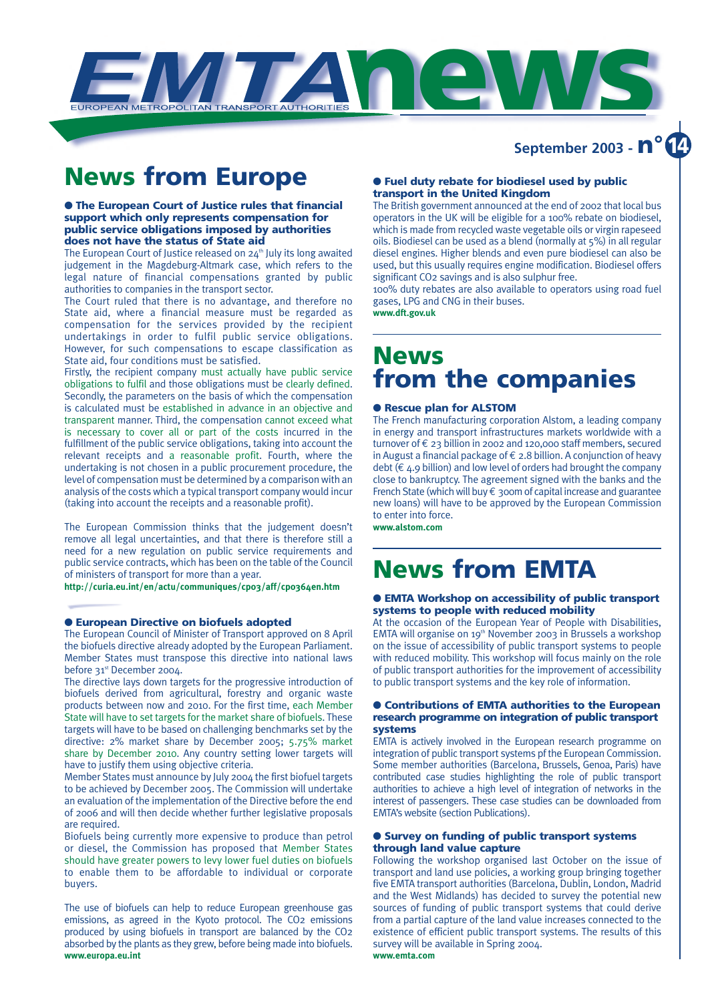

### **News from Europe**

#### ● **The European Court of Justice rules that financial support which only represents compensation for public service obligations imposed by authorities does not have the status of State aid**

The European Court of Justice released on  $24<sup>th</sup>$  July its long awaited judgement in the Magdeburg-Altmark case, which refers to the legal nature of financial compensations granted by public authorities to companies in the transport sector.

The Court ruled that there is no advantage, and therefore no State aid, where a financial measure must be regarded as compensation for the services provided by the recipient undertakings in order to fulfil public service obligations. However, for such compensations to escape classification as State aid, four conditions must be satisfied.

Firstly, the recipient company must actually have public service obligations to fulfil and those obligations must be clearly defined. Secondly, the parameters on the basis of which the compensation is calculated must be established in advance in an objective and transparent manner. Third, the compensation cannot exceed what is necessary to cover all or part of the costs incurred in the fulfillment of the public service obligations, taking into account the relevant receipts and a reasonable profit. Fourth, where the undertaking is not chosen in a public procurement procedure, the level of compensation must be determined by a comparison with an analysis of the costs which a typical transport company would incur (taking into account the receipts and a reasonable profit).

The European Commission thinks that the judgement doesn't remove all legal uncertainties, and that there is therefore still a need for a new regulation on public service requirements and public service contracts, which has been on the table of the Council of ministers of transport for more than a year.

**http://curia.eu.int/en/actu/communiques/cp03/aff/cp0364en.htm**

#### ● **European Directive on biofuels adopted**

The European Council of Minister of Transport approved on 8 April the biofuels directive already adopted by the European Parliament. Member States must transpose this directive into national laws before 31<sup>st</sup> December 2004.

The directive lays down targets for the progressive introduction of biofuels derived from agricultural, forestry and organic waste products between now and 2010. For the first time, each Member State will have to set targets for the market share of biofuels. These targets will have to be based on challenging benchmarks set by the directive: 2% market share by December 2005; 5.75% market share by December 2010. Any country setting lower targets will have to justify them using objective criteria.

Member States must announce by July 2004 the first biofuel targets to be achieved by December 2005. The Commission will undertake an evaluation of the implementation of the Directive before the end of 2006 and will then decide whether further legislative proposals are required.

Biofuels being currently more expensive to produce than petrol or diesel, the Commission has proposed that Member States should have greater powers to levy lower fuel duties on biofuels to enable them to be affordable to individual or corporate buyers.

The use of biofuels can help to reduce European greenhouse gas emissions, as agreed in the Kyoto protocol. The CO2 emissions produced by using biofuels in transport are balanced by the CO2 absorbed by the plants as they grew, before being made into biofuels. **www.europa.eu.int**

#### ● **Fuel duty rebate for biodiesel used by public transport in the United Kingdom**

The British government announced at the end of 2002 that local bus operators in the UK will be eligible for a 100% rebate on biodiesel, which is made from recycled waste vegetable oils or virgin rapeseed oils. Biodiesel can be used as a blend (normally at 5%) in all regular diesel engines. Higher blends and even pure biodiesel can also be used, but this usually requires engine modification. Biodiesel offers significant CO2 savings and is also sulphur free.

**September 2003 - n° 14**

100% duty rebates are also available to operators using road fuel gases, LPG and CNG in their buses.

**www.dft.gov.uk**

### **News from the companies**

#### ● **Rescue plan for ALSTOM**

The French manufacturing corporation Alstom, a leading company in energy and transport infrastructures markets worldwide with a turnover of € 23 billion in 2002 and 120,000 staff members, secured in August a financial package of € 2.8 billion. A conjunction of heavy debt  $(E_4.9$  billion) and low level of orders had brought the company close to bankruptcy. The agreement signed with the banks and the French State (which will buy  $\epsilon$  300m of capital increase and guarantee new loans) will have to be approved by the European Commission to enter into force.

**www.alstom.com**

### **News from EMTA**

#### ● **EMTA Workshop on accessibility of public transport systems to people with reduced mobility**

At the occasion of the European Year of People with Disabilities, EMTA will organise on 19<sup>th</sup> November 2003 in Brussels a workshop on the issue of accessibility of public transport systems to people with reduced mobility. This workshop will focus mainly on the role of public transport authorities for the improvement of accessibility to public transport systems and the key role of information.

#### ● **Contributions of EMTA authorities to the European research programme on integration of public transport systems**

EMTA is actively involved in the European research programme on integration of public transport systems pf the European Commission. Some member authorities (Barcelona, Brussels, Genoa, Paris) have contributed case studies highlighting the role of public transport authorities to achieve a high level of integration of networks in the interest of passengers. These case studies can be downloaded from EMTA's website (section Publications).

#### ● **Survey on funding of public transport systems through land value capture**

Following the workshop organised last October on the issue of transport and land use policies, a working group bringing together five EMTA transport authorities (Barcelona, Dublin, London, Madrid and the West Midlands) has decided to survey the potential new sources of funding of public transport systems that could derive from a partial capture of the land value increases connected to the existence of efficient public transport systems. The results of this survey will be available in Spring 2004.

**www.emta.com**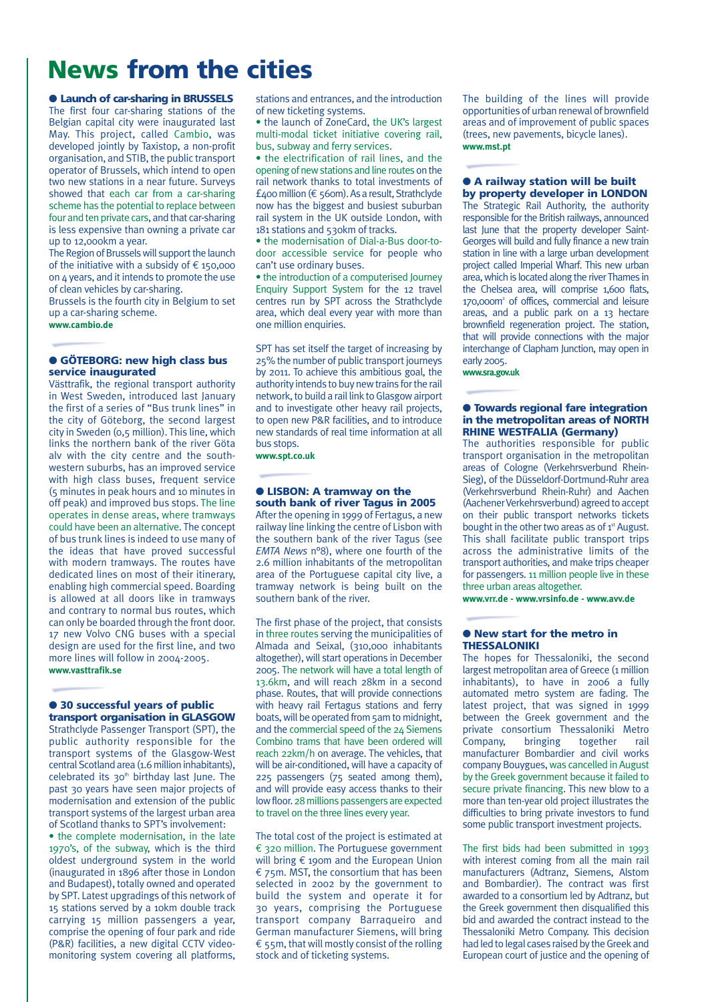## **News from the cities**

#### ● **Launch of car-sharing in BRUSSELS**

The first four car-sharing stations of the Belgian capital city were inaugurated last May. This project, called Cambio, was developed jointly by Taxistop, a non-profit organisation, and STIB, the public transport operator of Brussels, which intend to open two new stations in a near future. Surveys showed that each car from a car-sharing scheme has the potential to replace between four and ten private cars, and that car-sharing is less expensive than owning a private car up to 12,000km a year.

The Region of Brussels will support the launch of the initiative with a subsidy of  $\epsilon$  150,000 on 4 years, and it intends to promote the use of clean vehicles by car-sharing.

Brussels is the fourth city in Belgium to set up a car-sharing scheme.

**www.cambio.de**

#### ● **GÖTEBORG: new high class bus service inaugurated**

Västtrafik, the regional transport authority in West Sweden, introduced last January the first of a series of "Bus trunk lines" in the city of Göteborg, the second largest city in Sweden (0,5 million). This line, which links the northern bank of the river Göta alv with the city centre and the southwestern suburbs, has an improved service with high class buses, frequent service (5 minutes in peak hours and 10 minutes in off peak) and improved bus stops. The line operates in dense areas, where tramways could have been an alternative. The concept of bus trunk lines is indeed to use many of the ideas that have proved successful with modern tramways. The routes have dedicated lines on most of their itinerary, enabling high commercial speed. Boarding is allowed at all doors like in tramways and contrary to normal bus routes, which can only be boarded through the front door. 17 new Volvo CNG buses with a special design are used for the first line, and two more lines will follow in 2004-2005. **www.vasttrafik.se**

#### ● **30 successful years of public transport organisation in GLASGOW**

Strathclyde Passenger Transport (SPT), the public authority responsible for the transport systems of the Glasgow-West central Scotland area (1.6 million inhabitants), celebrated its  $30<sup>th</sup>$  birthday last June. The past 30 years have seen major projects of modernisation and extension of the public transport systems of the largest urban area of Scotland thanks to SPT's involvement:

• the complete modernisation, in the late 1970's, of the subway, which is the third oldest underground system in the world (inaugurated in 1896 after those in London and Budapest), totally owned and operated by SPT. Latest upgradings of this network of 15 stations served by a 10km double track carrying 15 million passengers a year, comprise the opening of four park and ride (P&R) facilities, a new digital CCTV videomonitoring system covering all platforms,

stations and entrances, and the introduction of new ticketing systems.

• the launch of ZoneCard, the UK's largest multi-modal ticket initiative covering rail, bus, subway and ferry services.

• the electrification of rail lines, and the opening of new stations and line routes on the rail network thanks to total investments of  $f_{400}$  million ( $\epsilon$  560m). As a result, Strathclyde now has the biggest and busiest suburban rail system in the UK outside London, with 181 stations and 530km of tracks.

• the modernisation of Dial-a-Bus door-todoor accessible service for people who can't use ordinary buses.

• the introduction of a computerised Journey Enquiry Support System for the 12 travel centres run by SPT across the Strathclyde area, which deal every year with more than one million enquiries.

SPT has set itself the target of increasing by 25% the number of public transport journeys by 2011. To achieve this ambitious goal, the authority intends to buy new trains for the rail network, to build a rail link to Glasgow airport and to investigate other heavy rail projects, to open new P&R facilities, and to introduce new standards of real time information at all bus stops.

**www.spt.co.uk**

#### ● **LISBON: A tramway on the south bank of river Tagus in 2005**

After the opening in 1999 of Fertagus, a new railway line linking the centre of Lisbon with the southern bank of the river Tagus (see *EMTA News* n°8), where one fourth of the 2.6 million inhabitants of the metropolitan area of the Portuguese capital city live, a tramway network is being built on the southern bank of the river.

The first phase of the project, that consists in three routes serving the municipalities of Almada and Seixal, (310,000 inhabitants altogether), will start operations in December 2005. The network will have a total length of 13.6km, and will reach 28km in a second phase. Routes, that will provide connections with heavy rail Fertagus stations and ferry boats, will be operated from 5am to midnight, and the commercial speed of the 24 Siemens Combino trams that have been ordered will reach 22km/h on average. The vehicles, that will be air-conditioned, will have a capacity of 225 passengers (75 seated among them), and will provide easy access thanks to their low floor. 28 millions passengers are expected to travel on the three lines every year.

The total cost of the project is estimated at € 320 million. The Portuguese government will bring € 190m and the European Union  $\epsilon$  75m. MST, the consortium that has been selected in 2002 by the government to build the system and operate it for 30 years, comprising the Portuguese transport company Barraqueiro and German manufacturer Siemens, will bring  $\epsilon$  55m, that will mostly consist of the rolling stock and of ticketing systems.

The building of the lines will provide opportunities of urban renewal of brownfield areas and of improvement of public spaces (trees, new pavements, bicycle lanes). **www.mst.pt**

#### ● **A railway station will be built by property developer in LONDON**

The Strategic Rail Authority, the authority responsible for the British railways, announced last June that the property developer Saint-Georges will build and fully finance a new train station in line with a large urban development project called Imperial Wharf. This new urban area, which is located along the river Thames in the Chelsea area, will comprise 1,600 flats, 170,000m<sup>2</sup> of offices, commercial and leisure areas, and a public park on a 13 hectare brownfield regeneration project. The station, that will provide connections with the major interchange of Clapham Junction, may open in early 2005. **www.sra.gov.uk**

#### ● **Towards regional fare integration in the metropolitan areas of NORTH RHINE WESTFALIA (Germany)**

The authorities responsible for public transport organisation in the metropolitan areas of Cologne (Verkehrsverbund Rhein-Sieg), of the Düsseldorf-Dortmund-Ruhr area (Verkehrsverbund Rhein-Ruhr) and Aachen (Aachener Verkehrsverbund) agreed to accept on their public transport networks tickets bought in the other two areas as of 1<sup>st</sup> August. This shall facilitate public transport trips across the administrative limits of the transport authorities, and make trips cheaper for passengers. 11 million people live in these three urban areas altogether.

**www.vrr.de - www.vrsinfo.de - www.avv.de**

#### ● **New start for the metro in THESSALONIKI**

The hopes for Thessaloniki, the second largest metropolitan area of Greece (1 million inhabitants), to have in 2006 a fully automated metro system are fading. The latest project, that was signed in 1999 between the Greek government and the private consortium Thessaloniki Metro Company, bringing together rail manufacturer Bombardier and civil works company Bouygues, was cancelled in August by the Greek government because it failed to secure private financing. This new blow to a more than ten-year old project illustrates the difficulties to bring private investors to fund some public transport investment projects.

The first bids had been submitted in 1993 with interest coming from all the main rail manufacturers (Adtranz, Siemens, Alstom and Bombardier). The contract was first awarded to a consortium led by Adtranz, but the Greek government then disqualified this bid and awarded the contract instead to the Thessaloniki Metro Company. This decision had led to legal cases raised by the Greek and European court of justice and the opening of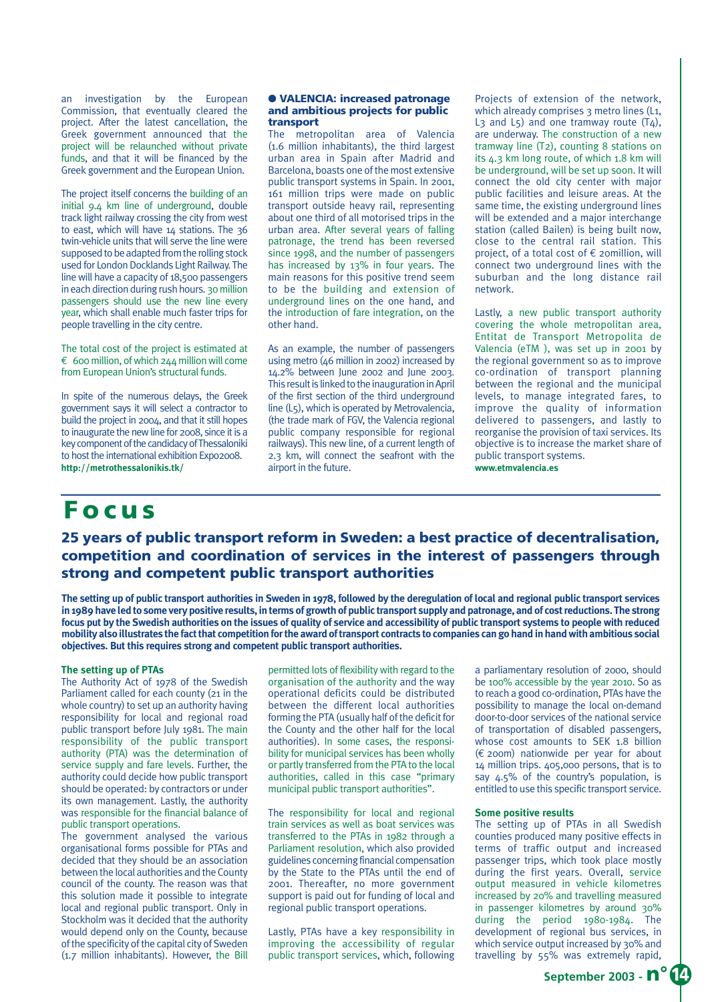an investigation by the European Commission, that eventually cleared the project. After the latest cancellation, the Greek government announced that the project will be relaunched without private funds, and that it will be financed by the Greek government and the European Union.

The project itself concerns the building of an initial 9.4 km line of underground, double track light railway crossing the city from west to east, which will have 14 stations. The 36 twin-vehicle units that will serve the line were supposed to be adapted from the rolling stock used for London Docklands Light Railway. The line will have a capacity of 18,500 passengers in each direction during rush hours. 30 million passengers should use the new line every year, which shall enable much faster trips for people travelling in the city centre.

The total cost of the project is estimated at € 600 million, of which  $244$  million will come from European Union's structural funds.

In spite of the numerous delays, the Greek government says it will select a contractor to build the project in 2004, and that it still hopes to inaugurate the new line for 2008, since it is a key component of the candidacy of Thessaloniki to host the international exhibition Expo2008. **http://metrothessalonikis.tk/**

### **Focus**

#### ● **VALENCIA: increased patronage and ambitious projects for public transport**

The metropolitan area of Valencia (1.6 million inhabitants), the third largest urban area in Spain after Madrid and Barcelona, boasts one of the most extensive public transport systems in Spain. In 2001, 161 million trips were made on public transport outside heavy rail, representing about one third of all motorised trips in the urban area. After several years of falling patronage, the trend has been reversed since 1998, and the number of passengers has increased by 13% in four years. The main reasons for this positive trend seem to be the building and extension of underground lines on the one hand, and the introduction of fare integration, on the other hand.

As an example, the number of passengers using metro (46 million in 2002) increased by 14.2% between June 2002 and June 2003. This result is linked to the inauguration in April of the first section of the third underground line (L5), which is operated by Metrovalencia, (the trade mark of FGV, the Valencia regional public company responsible for regional railways). This new line, of a current length of 2.3 km, will connect the seafront with the airport in the future.

Projects of extension of the network, which already comprises 3 metro lines (L1, L<sub>3</sub> and L<sub>5</sub>) and one tramway route  $(T<sub>4</sub>)$ , are underway. The construction of a new tramway line (T2), counting 8 stations on its 4.3 km long route, of which 1.8 km will be underground, will be set up soon. It will connect the old city center with major public facilities and leisure areas. At the same time, the existing underground lines will be extended and a major interchange station (called Bailen) is being built now, close to the central rail station. This project, of a total cost of € 20million, will connect two underground lines with the suburban and the long distance rail network.

Lastly, a new public transport authority covering the whole metropolitan area, Entitat de Transport Metropolita de Valencia (eTM ), was set up in 2001 by the regional government so as to improve co-ordination of transport planning between the regional and the municipal levels, to manage integrated fares, to improve the quality of information delivered to passengers, and lastly to reorganise the provision of taxi services. Its objective is to increase the market share of public transport systems. **www.etmvalencia.es**

### **25 years of public transport reform in Sweden: a best practice of decentralisation, competition and coordination of services in the interest of passengers through strong and competent public transport authorities**

**The setting up of public transport authorities in Sweden in 1978, followed by the deregulation of local and regional public transport services in 1989 have led to some very positive results, in terms of growth of public transport supply and patronage, and of cost reductions. The strong focus put by the Swedish authorities on the issues of quality of service and accessibility of public transport systems to people with reduced mobility also illustrates the fact that competition for the award of transport contracts to companies can go hand in hand with ambitious social objectives. But this requires strong and competent public transport authorities.**

#### **The setting up of PTAs**

The Authority Act of 1978 of the Swedish Parliament called for each county (21 in the whole country) to set up an authority having responsibility for local and regional road public transport before July 1981. The main responsibility of the public transport authority (PTA) was the determination of service supply and fare levels. Further, the authority could decide how public transport should be operated: by contractors or under its own management. Lastly, the authority was responsible for the financial balance of public transport operations.

The government analysed the various organisational forms possible for PTAs and decided that they should be an association between the local authorities and the County council of the county. The reason was that this solution made it possible to integrate local and regional public transport. Only in Stockholm was it decided that the authority would depend only on the County, because of the specificity of the capital city of Sweden (1.7 million inhabitants). However, the Bill

permitted lots of flexibility with regard to the organisation of the authority and the way operational deficits could be distributed between the different local authorities forming the PTA (usually half of the deficit for the County and the other half for the local authorities). In some cases, the responsibility for municipal services has been wholly or partly transferred from the PTA to the local authorities, called in this case "primary municipal public transport authorities".

The responsibility for local and regional train services as well as boat services was transferred to the PTAs in 1982 through a Parliament resolution, which also provided guidelines concerning financial compensation by the State to the PTAs until the end of 2001. Thereafter, no more government support is paid out for funding of local and regional public transport operations.

Lastly, PTAs have a key responsibility in improving the accessibility of regular public transport services, which, following

a parliamentary resolution of 2000, should be 100% accessible by the year 2010. So as to reach a good co-ordination, PTAs have the possibility to manage the local on-demand door-to-door services of the national service of transportation of disabled passengers, whose cost amounts to SEK 1.8 billion (€ 200m) nationwide per year for about 14 million trips. 405,000 persons, that is to say 4.5% of the country's population, is entitled to use this specific transport service.

#### **Some positive results**

The setting up of PTAs in all Swedish counties produced many positive effects in terms of traffic output and increased passenger trips, which took place mostly during the first years. Overall, service output measured in vehicle kilometres increased by 20% and travelling measured in passenger kilometres by around 30% during the period 1980-1984. The development of regional bus services, in which service output increased by 30% and travelling by 55% was extremely rapid,